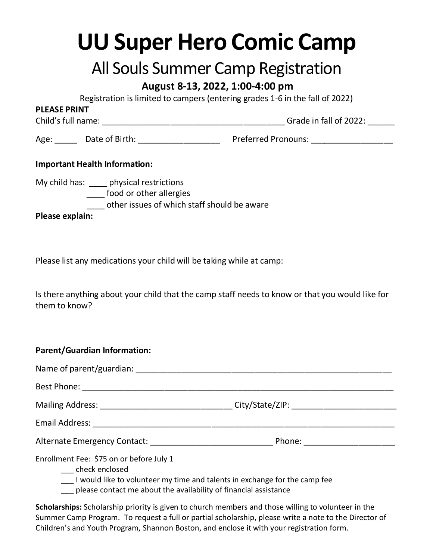# **UU Super Hero Comic Camp**

## All Souls Summer Camp Registration

#### **August 8-13, 2022, 1:00-4:00 pm**

Registration is limited to campers (entering grades 1-6 in the fall of 2022)

#### **PLEASE PRINT**

Child's full name: \_\_\_\_\_\_\_\_\_\_\_\_\_\_\_\_\_\_\_\_\_\_\_\_\_\_\_\_\_\_\_\_\_\_\_\_\_\_\_\_ Grade in fall of 2022: \_\_\_\_\_\_

Age: Communist Date of Birth: Communist Preferred Pronouns: Communist Pronouns: Communist Pronounce Pronounce P

#### **Important Health Information:**

My child has: \_\_\_\_ physical restrictions

\_\_\_\_ food or other allergies

\_\_\_\_ other issues of which staff should be aware

**Please explain:**

Please list any medications your child will be taking while at camp:

Is there anything about your child that the camp staff needs to know or that you would like for them to know?

#### **Parent/Guardian Information:**

|                                                                                                                                              | Mailing Address: __________________________________City/State/ZIP: _____________ |  |  |  |
|----------------------------------------------------------------------------------------------------------------------------------------------|----------------------------------------------------------------------------------|--|--|--|
|                                                                                                                                              |                                                                                  |  |  |  |
| Alternate Emergency Contact: National Contract Contact:                                                                                      | Phone: ______________________                                                    |  |  |  |
| Enrollment Fee: \$75 on or before July 1<br>check enclosed<br>___ I would like to volunteer my time and talents in exchange for the camp fee |                                                                                  |  |  |  |

please contact me about the availability of financial assistance

**Scholarships:** Scholarship priority is given to church members and those willing to volunteer in the Summer Camp Program. To request a full or partial scholarship, please write a note to the Director of Children's and Youth Program, Shannon Boston, and enclose it with your registration form.